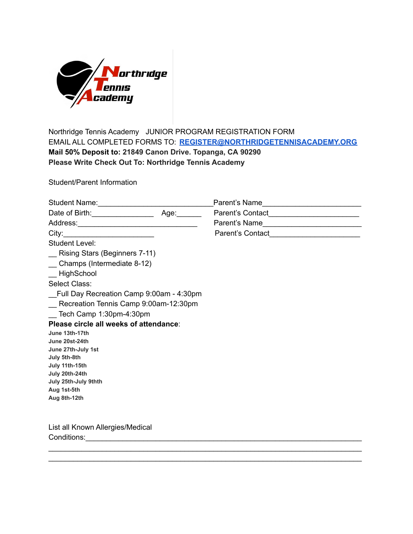

Northridge Tennis Academy JUNIOR PROGRAM REGISTRATION FORM EMAIL ALL COMPLETED FORMS TO: **[REGISTER@NORTHRIDGETENNISACADEMY.ORG](mailto:REGISTER@NORTHRIDGETENNISACADEMY.ORG) Mail 50% Deposit to: 21849 Canon Drive. Topanga, CA 90290 Please Write Check Out To: Northridge Tennis Academy**

Student/Parent Information

|                                                                                                                |  | Parent's Name |  |  |
|----------------------------------------------------------------------------------------------------------------|--|---------------|--|--|
| City: 2008 2010 2010 2021 2022 2023 2024 2022 2022 2023 2024 2022 2023 2024 2022 2023 2024 2025 2026 2027 2028 |  |               |  |  |
| Student Level:                                                                                                 |  |               |  |  |
| _ Rising Stars (Beginners 7-11)                                                                                |  |               |  |  |
| Champs (Intermediate 8-12)                                                                                     |  |               |  |  |
| __ HighSchool                                                                                                  |  |               |  |  |
| Select Class:                                                                                                  |  |               |  |  |
| Full Day Recreation Camp 9:00am - 4:30pm                                                                       |  |               |  |  |
| Recreation Tennis Camp 9:00am-12:30pm                                                                          |  |               |  |  |
| Tech Camp 1:30pm-4:30pm                                                                                        |  |               |  |  |
| Please circle all weeks of attendance:                                                                         |  |               |  |  |
| June 13th-17th                                                                                                 |  |               |  |  |
| June 20st-24th                                                                                                 |  |               |  |  |
| June 27th-July 1st<br>July 5th-8th                                                                             |  |               |  |  |
| July 11th-15th                                                                                                 |  |               |  |  |
| July 20th-24th                                                                                                 |  |               |  |  |
| July 25th-July 9thth                                                                                           |  |               |  |  |
| Aug 1st-5th                                                                                                    |  |               |  |  |
| Aug 8th-12th                                                                                                   |  |               |  |  |
|                                                                                                                |  |               |  |  |
| List all Known Allergies/Medical                                                                               |  |               |  |  |
| <b>Conditions: Conditions Conditions Conditions</b>                                                            |  |               |  |  |
|                                                                                                                |  |               |  |  |

\_\_\_\_\_\_\_\_\_\_\_\_\_\_\_\_\_\_\_\_\_\_\_\_\_\_\_\_\_\_\_\_\_\_\_\_\_\_\_\_\_\_\_\_\_\_\_\_\_\_\_\_\_\_\_\_\_\_\_\_\_\_\_\_\_\_\_\_\_\_\_\_\_\_\_\_